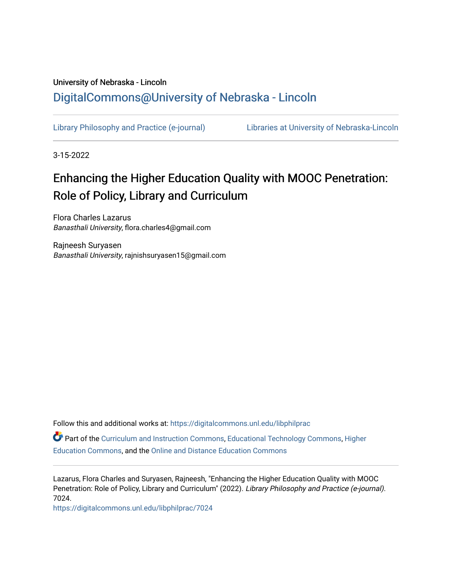# University of Nebraska - Lincoln [DigitalCommons@University of Nebraska - Lincoln](https://digitalcommons.unl.edu/)

[Library Philosophy and Practice \(e-journal\)](https://digitalcommons.unl.edu/libphilprac) [Libraries at University of Nebraska-Lincoln](https://digitalcommons.unl.edu/libraries) 

3-15-2022

# Enhancing the Higher Education Quality with MOOC Penetration: Role of Policy, Library and Curriculum

Flora Charles Lazarus Banasthali University, flora.charles4@gmail.com

Rajneesh Suryasen Banasthali University, rajnishsuryasen15@gmail.com

Follow this and additional works at: [https://digitalcommons.unl.edu/libphilprac](https://digitalcommons.unl.edu/libphilprac?utm_source=digitalcommons.unl.edu%2Flibphilprac%2F7024&utm_medium=PDF&utm_campaign=PDFCoverPages) 

Part of the [Curriculum and Instruction Commons,](http://network.bepress.com/hgg/discipline/786?utm_source=digitalcommons.unl.edu%2Flibphilprac%2F7024&utm_medium=PDF&utm_campaign=PDFCoverPages) [Educational Technology Commons,](http://network.bepress.com/hgg/discipline/1415?utm_source=digitalcommons.unl.edu%2Flibphilprac%2F7024&utm_medium=PDF&utm_campaign=PDFCoverPages) [Higher](http://network.bepress.com/hgg/discipline/1245?utm_source=digitalcommons.unl.edu%2Flibphilprac%2F7024&utm_medium=PDF&utm_campaign=PDFCoverPages) [Education Commons,](http://network.bepress.com/hgg/discipline/1245?utm_source=digitalcommons.unl.edu%2Flibphilprac%2F7024&utm_medium=PDF&utm_campaign=PDFCoverPages) and the [Online and Distance Education Commons](http://network.bepress.com/hgg/discipline/1296?utm_source=digitalcommons.unl.edu%2Flibphilprac%2F7024&utm_medium=PDF&utm_campaign=PDFCoverPages) 

Lazarus, Flora Charles and Suryasen, Rajneesh, "Enhancing the Higher Education Quality with MOOC Penetration: Role of Policy, Library and Curriculum" (2022). Library Philosophy and Practice (e-journal). 7024.

[https://digitalcommons.unl.edu/libphilprac/7024](https://digitalcommons.unl.edu/libphilprac/7024?utm_source=digitalcommons.unl.edu%2Flibphilprac%2F7024&utm_medium=PDF&utm_campaign=PDFCoverPages)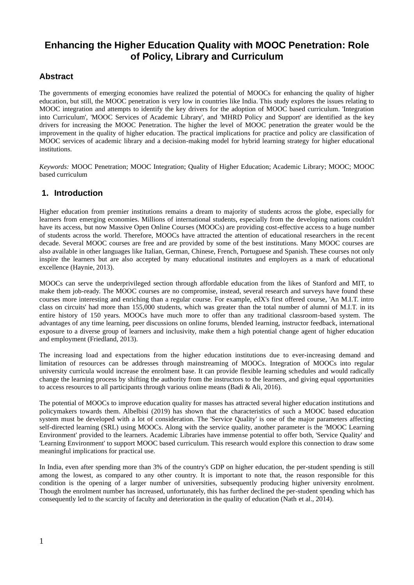# **Enhancing the Higher Education Quality with MOOC Penetration: Role of Policy, Library and Curriculum**

### **Abstract**

The governments of emerging economies have realized the potential of MOOCs for enhancing the quality of higher education, but still, the MOOC penetration is very low in countries like India. This study explores the issues relating to MOOC integration and attempts to identify the key drivers for the adoption of MOOC based curriculum. 'Integration into Curriculum', 'MOOC Services of Academic Library', and 'MHRD Policy and Support' are identified as the key drivers for increasing the MOOC Penetration. The higher the level of MOOC penetration the greater would be the improvement in the quality of higher education. The practical implications for practice and policy are classification of MOOC services of academic library and a decision-making model for hybrid learning strategy for higher educational institutions.

*Keywords:* MOOC Penetration; MOOC Integration; Quality of Higher Education; Academic Library; MOOC; MOOC based curriculum

#### **1. Introduction**

Higher education from premier institutions remains a dream to majority of students across the globe, especially for learners from emerging economies. Millions of international students, especially from the developing nations couldn't have its access, but now Massive Open Online Courses (MOOCs) are providing cost-effective access to a huge number of students across the world. Therefore, MOOCs have attracted the attention of educational researchers in the recent decade. Several MOOC courses are free and are provided by some of the best institutions. Many MOOC courses are also available in other languages like Italian, German, Chinese, French, Portuguese and Spanish. These courses not only inspire the learners but are also accepted by many educational institutes and employers as a mark of educational excellence (Haynie, 2013).

MOOCs can serve the underprivileged section through affordable education from the likes of Stanford and MIT, to make them job-ready. The MOOC courses are no compromise, instead, several research and surveys have found these courses more interesting and enriching than a regular course. For example, edX's first offered course, 'An M.I.T. intro class on circuits' had more than 155,000 students, which was greater than the total number of alumni of M.I.T. in its entire history of 150 years. MOOCs have much more to offer than any traditional classroom-based system. The advantages of any time learning, peer discussions on online forums, blended learning, instructor feedback, international exposure to a diverse group of learners and inclusivity, make them a high potential change agent of higher education and employment (Friedland, 2013).

The increasing load and expectations from the higher education institutions due to ever-increasing demand and limitation of resources can be addresses through mainstreaming of MOOCs. Integration of MOOCs into regular university curricula would increase the enrolment base. It can provide flexible learning schedules and would radically change the learning process by shifting the authority from the instructors to the learners, and giving equal opportunities to access resources to all participants through various online means (Badi & Ali, 2016).

The potential of MOOCs to improve education quality for masses has attracted several higher education institutions and policymakers towards them. Albelbisi (2019) has shown that the characteristics of such a MOOC based education system must be developed with a lot of consideration. The 'Service Quality' is one of the major parameters affecting self-directed learning (SRL) using MOOCs. Along with the service quality, another parameter is the 'MOOC Learning Environment' provided to the learners. Academic Libraries have immense potential to offer both, 'Service Quality' and 'Learning Environment' to support MOOC based curriculum. This research would explore this connection to draw some meaningful implications for practical use.

In India, even after spending more than 3% of the country's GDP on higher education, the per-student spending is still among the lowest, as compared to any other country. It is important to note that, the reason responsible for this condition is the opening of a larger number of universities, subsequently producing higher university enrolment. Though the enrolment number has increased, unfortunately, this has further declined the per-student spending which has consequently led to the scarcity of faculty and deterioration in the quality of education (Nath et al., 2014).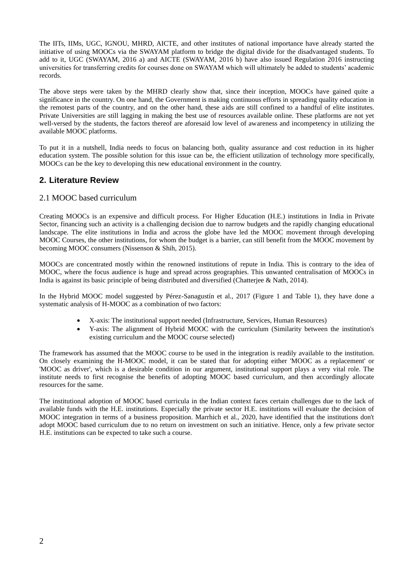The IITs, IIMs, UGC, IGNOU, MHRD, AICTE, and other institutes of national importance have already started the initiative of using MOOCs via the SWAYAM platform to bridge the digital divide for the disadvantaged students. To add to it, UGC (SWAYAM, 2016 a) and AICTE (SWAYAM, 2016 b) have also issued Regulation 2016 instructing universities for transferring credits for courses done on SWAYAM which will ultimately be added to students' academic records.

The above steps were taken by the MHRD clearly show that, since their inception, MOOCs have gained quite a significance in the country. On one hand, the Government is making continuous efforts in spreading quality education in the remotest parts of the country, and on the other hand, these aids are still confined to a handful of elite institutes. Private Universities are still lagging in making the best use of resources available online. These platforms are not yet well-versed by the students, the factors thereof are aforesaid low level of awareness and incompetency in utilizing the available MOOC platforms.

To put it in a nutshell, India needs to focus on balancing both, quality assurance and cost reduction in its higher education system. The possible solution for this issue can be, the efficient utilization of technology more specifically, MOOCs can be the key to developing this new educational environment in the country.

### **2. Literature Review**

#### 2.1 MOOC based curriculum

Creating MOOCs is an expensive and difficult process. For Higher Education (H.E.) institutions in India in Private Sector, financing such an activity is a challenging decision due to narrow budgets and the rapidly changing educational landscape. The elite institutions in India and across the globe have led the MOOC movement through developing MOOC Courses, the other institutions, for whom the budget is a barrier, can still benefit from the MOOC movement by becoming MOOC consumers (Nissenson & Shih, 2015).

MOOCs are concentrated mostly within the renowned institutions of repute in India. This is contrary to the idea of MOOC, where the focus audience is huge and spread across geographies. This unwanted centralisation of MOOCs in India is against its basic principle of being distributed and diversified (Chatterjee & Nath, 2014).

In the Hybrid MOOC model suggested by Pérez-Sanagustín et al., 2017 (Figure 1 and Table 1), they have done a systematic analysis of H-MOOC as a combination of two factors:

- X-axis: The institutional support needed (Infrastructure, Services, Human Resources)
- Y-axis: The alignment of Hybrid MOOC with the curriculum (Similarity between the institution's existing curriculum and the MOOC course selected)

The framework has assumed that the MOOC course to be used in the integration is readily available to the institution. On closely examining the H-MOOC model, it can be stated that for adopting either 'MOOC as a replacement' or 'MOOC as driver', which is a desirable condition in our argument, institutional support plays a very vital role. The institute needs to first recognise the benefits of adopting MOOC based curriculum, and then accordingly allocate resources for the same.

The institutional adoption of MOOC based curricula in the Indian context faces certain challenges due to the lack of available funds with the H.E. institutions. Especially the private sector H.E. institutions will evaluate the decision of MOOC integration in terms of a business proposition. Marrhich et al., 2020, have identified that the institutions don't adopt MOOC based curriculum due to no return on investment on such an initiative. Hence, only a few private sector H.E. institutions can be expected to take such a course.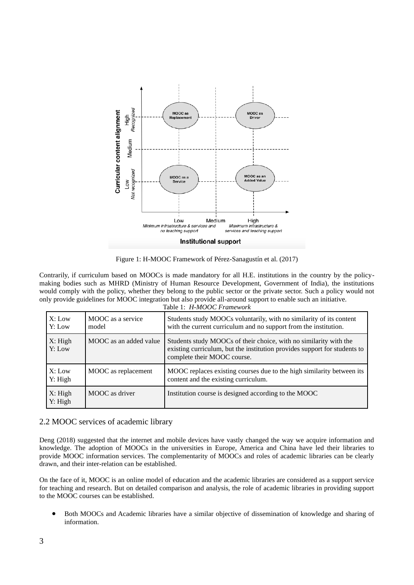

Figure 1: H-MOOC Framework of Pérez-Sanagustín et al. (2017)

Contrarily, if curriculum based on MOOCs is made mandatory for all H.E. institutions in the country by the policymaking bodies such as MHRD (Ministry of Human Resource Development, Government of India), the institutions would comply with the policy, whether they belong to the public sector or the private sector. Such a policy would not only provide guidelines for MOOC integration but also provide all-around support to enable such an initiative. Table 1: *H-MOOC Framework*

| X: Low<br>Y: Low   | MOOC as a service<br>model | Students study MOOCs voluntarily, with no similarity of its content<br>with the current curriculum and no support from the institution.                                       |
|--------------------|----------------------------|-------------------------------------------------------------------------------------------------------------------------------------------------------------------------------|
| X: High<br>Y: Low  | MOOC as an added value     | Students study MOOCs of their choice, with no similarity with the<br>existing curriculum, but the institution provides support for students to<br>complete their MOOC course. |
| X: Low<br>Y: High  | MOOC as replacement        | MOOC replaces existing courses due to the high similarity between its<br>content and the existing curriculum.                                                                 |
| X: High<br>Y: High | MOOC as driver             | Institution course is designed according to the MOOC                                                                                                                          |

#### 2.2 MOOC services of academic library

Deng (2018) suggested that the internet and mobile devices have vastly changed the way we acquire information and knowledge. The adoption of MOOCs in the universities in Europe, America and China have led their libraries to provide MOOC information services. The complementarity of MOOCs and roles of academic libraries can be clearly drawn, and their inter-relation can be established.

On the face of it, MOOC is an online model of education and the academic libraries are considered as a support service for teaching and research. But on detailed comparison and analysis, the role of academic libraries in providing support to the MOOC courses can be established.

• Both MOOCs and Academic libraries have a similar objective of dissemination of knowledge and sharing of information.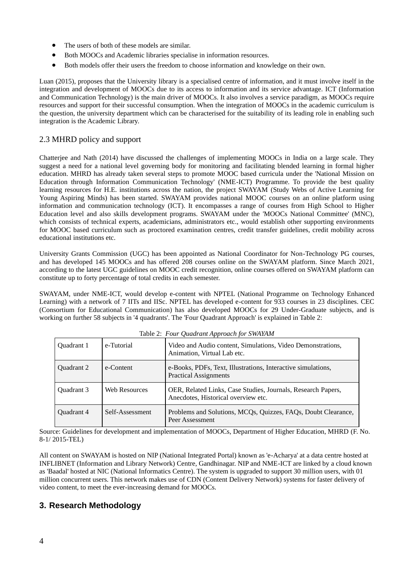- The users of both of these models are similar.
- Both MOOCs and Academic libraries specialise in information resources.
- Both models offer their users the freedom to choose information and knowledge on their own.

Luan (2015), proposes that the University library is a specialised centre of information, and it must involve itself in the integration and development of MOOCs due to its access to information and its service advantage. ICT (Information and Communication Technology) is the main driver of MOOCs. It also involves a service paradigm, as MOOCs require resources and support for their successful consumption. When the integration of MOOCs in the academic curriculum is the question, the university department which can be characterised for the suitability of its leading role in enabling such integration is the Academic Library.

#### 2.3 MHRD policy and support

Chatterjee and Nath (2014) have discussed the challenges of implementing MOOCs in India on a large scale. They suggest a need for a national level governing body for monitoring and facilitating blended learning in formal higher education. MHRD has already taken several steps to promote MOOC based curricula under the 'National Mission on Education through Information Communication Technology' (NME-ICT) Programme. To provide the best quality learning resources for H.E. institutions across the nation, the project SWAYAM (Study Webs of Active Learning for Young Aspiring Minds) has been started. SWAYAM provides national MOOC courses on an online platform using information and communication technology (ICT). It encompasses a range of courses from High School to Higher Education level and also skills development programs. SWAYAM under the 'MOOCs National Committee' (MNC), which consists of technical experts, academicians, administrators etc., would establish other supporting environments for MOOC based curriculum such as proctored examination centres, credit transfer guidelines, credit mobility across educational institutions etc.

University Grants Commission (UGC) has been appointed as National Coordinator for Non-Technology PG courses, and has developed 145 MOOCs and has offered 208 courses online on the SWAYAM platform. Since March 2021, according to the latest UGC guidelines on MOOC credit recognition, online courses offered on SWAYAM platform can constitute up to forty percentage of total credits in each semester.

SWAYAM, under NME-ICT, would develop e-content with NPTEL (National Programme on Technology Enhanced Learning) with a network of 7 IITs and IISc. NPTEL has developed e-content for 933 courses in 23 disciplines. CEC (Consortium for Educational Communication) has also developed MOOCs for 29 Under-Graduate subjects, and is working on further 58 subjects in '4 quadrants'. The 'Four Quadrant Approach' is explained in Table 2:

| Ouadrant 1 | e-Tutorial      | Video and Audio content, Simulations, Video Demonstrations,<br>Animation, Virtual Lab etc.          |
|------------|-----------------|-----------------------------------------------------------------------------------------------------|
| Quadrant 2 | e-Content       | e-Books, PDFs, Text, Illustrations, Interactive simulations,<br><b>Practical Assignments</b>        |
| Ouadrant 3 | Web Resources   | OER, Related Links, Case Studies, Journals, Research Papers,<br>Anecdotes, Historical overview etc. |
| Quadrant 4 | Self-Assessment | Problems and Solutions, MCQs, Quizzes, FAQs, Doubt Clearance,<br>Peer Assessment                    |

Table 2: *Four Quadrant Approach for SWAYAM*

Source: Guidelines for development and implementation of MOOCs, Department of Higher Education, MHRD (F. No. 8-1/ 2015-TEL)

All content on SWAYAM is hosted on NIP (National Integrated Portal) known as 'e-Acharya' at a data centre hosted at INFLIBNET (Information and Library Network) Centre, Gandhinagar. NIP and NME-ICT are linked by a cloud known as 'Baadal' hosted at NIC (National Informatics Centre). The system is upgraded to support 30 million users, with 01 million concurrent users. This network makes use of CDN (Content Delivery Network) systems for faster delivery of video content, to meet the ever-increasing demand for MOOCs.

### **3. Research Methodology**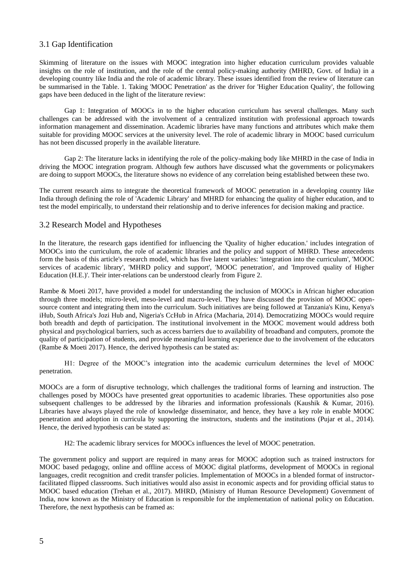#### 3.1 Gap Identification

Skimming of literature on the issues with MOOC integration into higher education curriculum provides valuable insights on the role of institution, and the role of the central policy-making authority (MHRD, Govt. of India) in a developing country like India and the role of academic library. These issues identified from the review of literature can be summarised in the Table. 1. Taking 'MOOC Penetration' as the driver for 'Higher Education Quality', the following gaps have been deduced in the light of the literature review:

Gap 1: Integration of MOOCs in to the higher education curriculum has several challenges. Many such challenges can be addressed with the involvement of a centralized institution with professional approach towards information management and dissemination. Academic libraries have many functions and attributes which make them suitable for providing MOOC services at the university level. The role of academic library in MOOC based curriculum has not been discussed properly in the available literature.

Gap 2: The literature lacks in identifying the role of the policy-making body like MHRD in the case of India in driving the MOOC integration program. Although few authors have discussed what the governments or policymakers are doing to support MOOCs, the literature shows no evidence of any correlation being established between these two.

The current research aims to integrate the theoretical framework of MOOC penetration in a developing country like India through defining the role of 'Academic Library' and MHRD for enhancing the quality of higher education, and to test the model empirically, to understand their relationship and to derive inferences for decision making and practice.

#### 3.2 Research Model and Hypotheses

In the literature, the research gaps identified for influencing the 'Quality of higher education.' includes integration of MOOCs into the curriculum, the role of academic libraries and the policy and support of MHRD. These antecedents form the basis of this article's research model, which has five latent variables: 'integration into the curriculum', 'MOOC services of academic library', 'MHRD policy and support', 'MOOC penetration', and 'Improved quality of Higher Education (H.E.)'. Their inter-relations can be understood clearly from Figure 2.

Rambe & Moeti 2017, have provided a model for understanding the inclusion of MOOCs in African higher education through three models; micro-level, meso-level and macro-level. They have discussed the provision of MOOC opensource content and integrating them into the curriculum. Such initiatives are being followed at Tanzania's Kinu, Kenya's iHub, South Africa's Jozi Hub and, Nigeria's CcHub in Africa (Macharia, 2014). Democratizing MOOCs would require both breadth and depth of participation. The institutional involvement in the MOOC movement would address both physical and psychological barriers, such as access barriers due to availability of broadband and computers, promote the quality of participation of students, and provide meaningful learning experience due to the involvement of the educators (Rambe & Moeti 2017). Hence, the derived hypothesis can be stated as:

H1: Degree of the MOOC's integration into the academic curriculum determines the level of MOOC penetration.

MOOCs are a form of disruptive technology, which challenges the traditional forms of learning and instruction. The challenges posed by MOOCs have presented great opportunities to academic libraries. These opportunities also pose subsequent challenges to be addressed by the libraries and information professionals (Kaushik & Kumar, 2016). Libraries have always played the role of knowledge disseminator, and hence, they have a key role in enable MOOC penetration and adoption in curricula by supporting the instructors, students and the institutions (Pujar et al., 2014). Hence, the derived hypothesis can be stated as:

H2: The academic library services for MOOCs influences the level of MOOC penetration.

The government policy and support are required in many areas for MOOC adoption such as trained instructors for MOOC based pedagogy, online and offline access of MOOC digital platforms, development of MOOCs in regional languages, credit recognition and credit transfer policies. Implementation of MOOCs in a blended format of instructorfacilitated flipped classrooms. Such initiatives would also assist in economic aspects and for providing official status to MOOC based education (Trehan et al., 2017). MHRD, (Ministry of Human Resource Development) Government of India, now known as the Ministry of Education is responsible for the implementation of national policy on Education. Therefore, the next hypothesis can be framed as: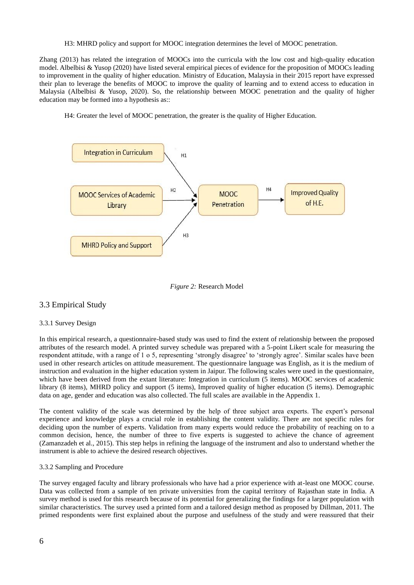H3: MHRD policy and support for MOOC integration determines the level of MOOC penetration.

Zhang (2013) has related the integration of MOOCs into the curricula with the low cost and high-quality education model. Albelbisi & Yusop (2020) have listed several empirical pieces of evidence for the proposition of MOOCs leading to improvement in the quality of higher education. Ministry of Education, Malaysia in their 2015 report have expressed their plan to leverage the benefits of MOOC to improve the quality of learning and to extend access to education in Malaysia (Albelbisi & Yusop, 2020). So, the relationship between MOOC penetration and the quality of higher education may be formed into a hypothesis as::

H4: Greater the level of MOOC penetration, the greater is the quality of Higher Education.





#### 3.3 Empirical Study

#### 3.3.1 Survey Design

In this empirical research, a questionnaire-based study was used to find the extent of relationship between the proposed attributes of the research model. A printed survey schedule was prepared with a 5-point Likert scale for measuring the respondent attitude, with a range of 1 o 5, representing 'strongly disagree' to 'strongly agree'. Similar scales have been used in other research articles on attitude measurement. The questionnaire language was English, as it is the medium of instruction and evaluation in the higher education system in Jaipur. The following scales were used in the questionnaire, which have been derived from the extant literature: Integration in curriculum (5 items). MOOC services of academic library (8 items), MHRD policy and support (5 items), Improved quality of higher education (5 items). Demographic data on age, gender and education was also collected. The full scales are available in the Appendix 1.

The content validity of the scale was determined by the help of three subject area experts. The expert's personal experience and knowledge plays a crucial role in establishing the content validity. There are not specific rules for deciding upon the number of experts. Validation from many experts would reduce the probability of reaching on to a common decision, hence, the number of three to five experts is suggested to achieve the chance of agreement (Zamanzadeh et al., 2015). This step helps in refining the language of the instrument and also to understand whether the instrument is able to achieve the desired research objectives.

#### 3.3.2 Sampling and Procedure

The survey engaged faculty and library professionals who have had a prior experience with at-least one MOOC course. Data was collected from a sample of ten private universities from the capital territory of Rajasthan state in India. A survey method is used for this research because of its potential for generalizing the findings for a larger population with similar characteristics. The survey used a printed form and a tailored design method as proposed by Dillman, 2011. The primed respondents were first explained about the purpose and usefulness of the study and were reassured that their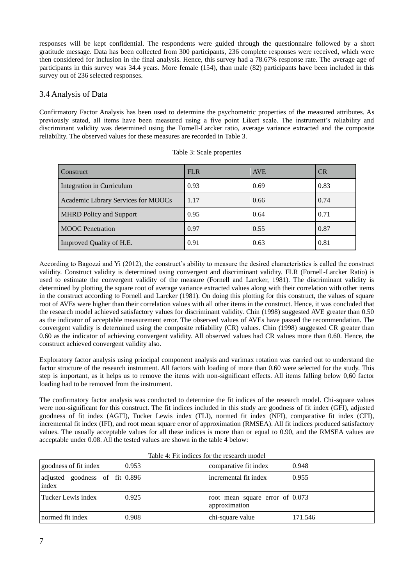responses will be kept confidential. The respondents were guided through the questionnaire followed by a short gratitude message. Data has been collected from 300 participants, 236 complete responses were received, which were then considered for inclusion in the final analysis. Hence, this survey had a 78.67% response rate. The average age of participants in this survey was 34.4 years. More female (154), than male (82) participants have been included in this survey out of 236 selected responses.

#### 3.4 Analysis of Data

Confirmatory Factor Analysis has been used to determine the psychometric properties of the measured attributes. As previously stated, all items have been measured using a five point Likert scale. The instrument's reliability and discriminant validity was determined using the Fornell-Larcker ratio, average variance extracted and the composite reliability. The observed values for these measures are recorded in Table 3.

| <b>Construct</b>                    | <b>FLR</b> | <b>AVE</b> | CR   |
|-------------------------------------|------------|------------|------|
| Integration in Curriculum           | 0.93       | 0.69       | 0.83 |
| Academic Library Services for MOOCs | 1.17       | 0.66       | 0.74 |
| <b>MHRD</b> Policy and Support      | 0.95       | 0.64       | 0.71 |
| <b>MOOC</b> Penetration             | 0.97       | 0.55       | 0.87 |
| Improved Quality of H.E.            | 0.91       | 0.63       | 0.81 |

| Table 3: Scale properties |  |  |  |  |
|---------------------------|--|--|--|--|
|---------------------------|--|--|--|--|

According to Bagozzi and Yi (2012), the construct's ability to measure the desired characteristics is called the construct validity. Construct validity is determined using convergent and discriminant validity. FLR (Fornell-Larcker Ratio) is used to estimate the convergent validity of the measure (Fornell and Larcker, 1981). The discriminant validity is determined by plotting the square root of average variance extracted values along with their correlation with other items in the construct according to Fornell and Larcker (1981). On doing this plotting for this construct, the values of square root of AVEs were higher than their correlation values with all other items in the construct. Hence, it was concluded that the research model achieved satisfactory values for discriminant validity. Chin (1998) suggested AVE greater than 0.50 as the indicator of acceptable measurement error. The observed values of AVEs have passed the recommendation. The convergent validity is determined using the composite reliability (CR) values. Chin (1998) suggested CR greater than 0.60 as the indicator of achieving convergent validity. All observed values had CR values more than 0.60. Hence, the construct achieved convergent validity also.

Exploratory factor analysis using principal component analysis and varimax rotation was carried out to understand the factor structure of the research instrument. All factors with loading of more than 0.60 were selected for the study. This step is important, as it helps us to remove the items with non-significant effects. All items falling below 0,60 factor loading had to be removed from the instrument.

The confirmatory factor analysis was conducted to determine the fit indices of the research model. Chi-square values were non-significant for this construct. The fit indices included in this study are goodness of fit index (GFI), adjusted goodness of fit index (AGFI), Tucker Lewis index (TLI), normed fit index (NFI), comparative fit index (CFI), incremental fit index (IFI), and root mean square error of approximation (RMSEA). All fit indices produced satisfactory values. The usually acceptable values for all these indices is more than or equal to 0.90, and the RMSEA values are acceptable under 0.08. All the tested values are shown in the table 4 below:

| goodness of fit index                     | 0.953 | comparative fit index                              | 0.948   |
|-------------------------------------------|-------|----------------------------------------------------|---------|
| adjusted goodness of $fit 0.896$<br>index |       | incremental fit index                              | 0.955   |
| Tucker Lewis index                        | 0.925 | root mean square error of $0.073$<br>approximation |         |
| normed fit index                          | 0.908 | chi-square value                                   | 171.546 |

Table 4: Fit indices for the research model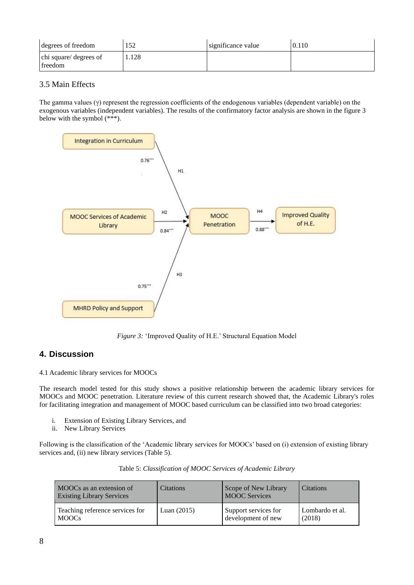| degrees of freedom                | 152   | significance value | 0.110 |
|-----------------------------------|-------|--------------------|-------|
| chi square/ degrees of<br>freedom | l.128 |                    |       |

#### 3.5 Main Effects

The gamma values (γ) represent the regression coefficients of the endogenous variables (dependent variable) on the exogenous variables (independent variables). The results of the confirmatory factor analysis are shown in the figure 3 below with the symbol (\*\*\*).



*Figure 3:* 'Improved Quality of H.E.' Structural Equation Model

# **4. Discussion**

4.1 Academic library services for MOOCs

The research model tested for this study shows a positive relationship between the academic library services for MOOCs and MOOC penetration. Literature review of this current research showed that, the Academic Library's roles for facilitating integration and management of MOOC based curriculum can be classified into two broad categories:

- i. Extension of Existing Library Services, and
- ii. New Library Services

Following is the classification of the 'Academic library services for MOOCs' based on (i) extension of existing library services and, (ii) new library services (Table 5).

| MOOCs as an extension of<br><b>Existing Library Services</b> | <b>Citations</b> | Scope of New Library<br><b>MOOC</b> Services | <b>Citations</b> |
|--------------------------------------------------------------|------------------|----------------------------------------------|------------------|
| Teaching reference services for                              | Luan $(2015)$    | Support services for                         | Lombardo et al.  |
| <b>MOOCs</b>                                                 |                  | development of new                           | (2018)           |

| Table 5: Classification of MOOC Services of Academic Library |  |
|--------------------------------------------------------------|--|
|                                                              |  |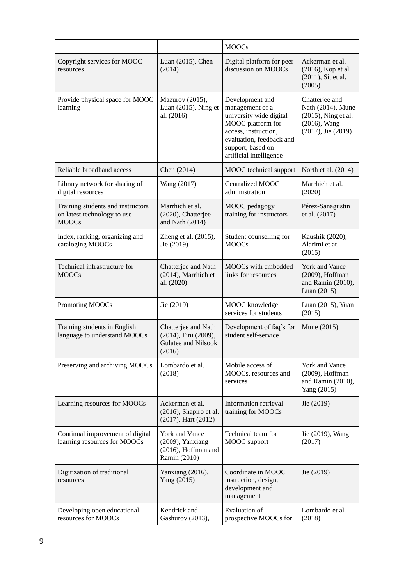|                                                                                  |                                                                                 | <b>MOOCs</b>                                                                                                                                                                           |                                                                                                     |
|----------------------------------------------------------------------------------|---------------------------------------------------------------------------------|----------------------------------------------------------------------------------------------------------------------------------------------------------------------------------------|-----------------------------------------------------------------------------------------------------|
| Copyright services for MOOC<br>resources                                         | Luan (2015), Chen<br>(2014)                                                     | Digital platform for peer-<br>discussion on MOOCs                                                                                                                                      | Ackerman et al.<br>(2016), Kop et al.<br>(2011), Sit et al.<br>(2005)                               |
| Provide physical space for MOOC<br>learning                                      | Mazurov (2015),<br>Luan $(2015)$ , Ning et<br>al. (2016)                        | Development and<br>management of a<br>university wide digital<br>MOOC platform for<br>access, instruction,<br>evaluation, feedback and<br>support, based on<br>artificial intelligence | Chatterjee and<br>Nath (2014), Mune<br>(2015), Ning et al.<br>$(2016)$ , Wang<br>(2017), Jie (2019) |
| Reliable broadband access                                                        | Chen (2014)                                                                     | MOOC technical support                                                                                                                                                                 | North et al. (2014)                                                                                 |
| Library network for sharing of<br>digital resources                              | Wang (2017)                                                                     | <b>Centralized MOOC</b><br>administration                                                                                                                                              | Marrhich et al.<br>(2020)                                                                           |
| Training students and instructors<br>on latest technology to use<br><b>MOOCs</b> | Marrhich et al.<br>(2020), Chatterjee<br>and Nath $(2014)$                      | MOOC pedagogy<br>training for instructors                                                                                                                                              | Pérez-Sanagustín<br>et al. (2017)                                                                   |
| Index, ranking, organizing and<br>cataloging MOOCs                               | Zheng et al. (2015),<br>Jie (2019)                                              | Student counselling for<br><b>MOOCs</b>                                                                                                                                                | Kaushik (2020),<br>Alarimi et at.<br>(2015)                                                         |
| Technical infrastructure for<br><b>MOOCs</b>                                     | Chatterjee and Nath<br>(2014), Marrhich et<br>al. (2020)                        | MOOCs with embedded<br>links for resources                                                                                                                                             | York and Vance<br>(2009), Hoffman<br>and Ramin (2010),<br>Luan (2015)                               |
| Promoting MOOCs                                                                  | Jie (2019)                                                                      | MOOC knowledge<br>services for students                                                                                                                                                | Luan (2015), Yuan<br>(2015)                                                                         |
| Training students in English<br>language to understand MOOCs                     | Chatterjee and Nath<br>(2014), Fini (2009),<br>Gulatee and Nilsook<br>(2016)    | Development of faq's for<br>student self-service                                                                                                                                       | Mune (2015)                                                                                         |
| Preserving and archiving MOOCs                                                   | Lombardo et al.<br>(2018)                                                       | Mobile access of<br>MOOCs, resources and<br>services                                                                                                                                   | York and Vance<br>(2009), Hoffman<br>and Ramin (2010),<br>Yang (2015)                               |
| Learning resources for MOOCs                                                     | Ackerman et al.<br>$(2016)$ , Shapiro et al.<br>$(2017)$ , Hart $(2012)$        | Information retrieval<br>training for MOOCs                                                                                                                                            | Jie (2019)                                                                                          |
| Continual improvement of digital<br>learning resources for MOOCs                 | York and Vance<br>$(2009)$ , Yanxiang<br>$(2016)$ , Hoffman and<br>Ramin (2010) | Technical team for<br>MOOC support                                                                                                                                                     | Jie (2019), Wang<br>(2017)                                                                          |
| Digitization of traditional<br>resources                                         | Yanxiang (2016),<br>Yang (2015)                                                 | Coordinate in MOOC<br>instruction, design,<br>development and<br>management                                                                                                            | Jie (2019)                                                                                          |
| Developing open educational<br>resources for MOOCs                               | Kendrick and<br>Gashurov (2013),                                                | <b>Evaluation of</b><br>prospective MOOCs for                                                                                                                                          | Lombardo et al.<br>(2018)                                                                           |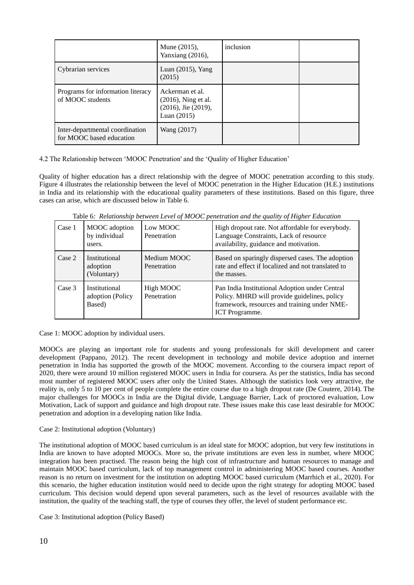|                                                             | Mune (2015),<br>Yanxiang (2016),                                                        | inclusion |  |
|-------------------------------------------------------------|-----------------------------------------------------------------------------------------|-----------|--|
| Cybrarian services                                          | Luan $(2015)$ , Yang<br>(2015)                                                          |           |  |
| Programs for information literacy<br>of MOOC students       | Ackerman et al.<br>$(2016)$ , Ning et al.<br>$(2016)$ , Jie $(2019)$ ,<br>Luan $(2015)$ |           |  |
| Inter-departmental coordination<br>for MOOC based education | Wang (2017)                                                                             |           |  |

4.2 The Relationship between 'MOOC Penetration' and the 'Quality of Higher Education'

Quality of higher education has a direct relationship with the degree of MOOC penetration according to this study. Figure 4 illustrates the relationship between the level of MOOC penetration in the Higher Education (H.E.) institutions in India and its relationship with the educational quality parameters of these institutions. Based on this figure, three cases can arise, which are discussed below in Table 6.

Table 6*: Relationship between Level of MOOC penetration and the quality of Higher Education*

| Case 1 | MOOC adoption<br>by individual<br>users.    | Low MOOC<br>Penetration    | High dropout rate. Not affordable for everybody.<br>Language Constraints, Lack of resource<br>availability, guidance and motivation.                                    |
|--------|---------------------------------------------|----------------------------|-------------------------------------------------------------------------------------------------------------------------------------------------------------------------|
| Case 2 | Institutional<br>adoption<br>(Voluntary)    | Medium MOOC<br>Penetration | Based on sparingly dispersed cases. The adoption<br>rate and effect if localized and not translated to<br>the masses.                                                   |
| Case 3 | Institutional<br>adoption (Policy<br>Based) | High MOOC<br>Penetration   | Pan India Institutional Adoption under Central<br>Policy. MHRD will provide guidelines, policy<br>framework, resources and training under NME-<br><b>ICT</b> Programme. |

Case 1: MOOC adoption by individual users.

MOOCs are playing an important role for students and young professionals for skill development and career development (Pappano, 2012). The recent development in technology and mobile device adoption and internet penetration in India has supported the growth of the MOOC movement. According to the coursera impact report of 2020, there were around 10 million registered MOOC users in India for coursera. As per the statistics, India has second most number of registered MOOC users after only the United States. Although the statistics look very attractive, the reality is, only 5 to 10 per cent of people complete the entire course due to a high dropout rate (De Coutere, 2014). The major challenges for MOOCs in India are the Digital divide, Language Barrier, Lack of proctored evaluation, Low Motivation, Lack of support and guidance and high dropout rate. These issues make this case least desirable for MOOC penetration and adoption in a developing nation like India.

Case 2: Institutional adoption (Voluntary)

The institutional adoption of MOOC based curriculum is an ideal state for MOOC adoption, but very few institutions in India are known to have adopted MOOCs. More so, the private institutions are even less in number, where MOOC integration has been practised. The reason being the high cost of infrastructure and human resources to manage and maintain MOOC based curriculum, lack of top management control in administering MOOC based courses. Another reason is no return on investment for the institution on adopting MOOC based curriculum (Marrhich et al., 2020). For this scenario, the higher education institution would need to decide upon the right strategy for adopting MOOC based curriculum. This decision would depend upon several parameters, such as the level of resources available with the institution, the quality of the teaching staff, the type of courses they offer, the level of student performance etc.

Case 3: Institutional adoption (Policy Based)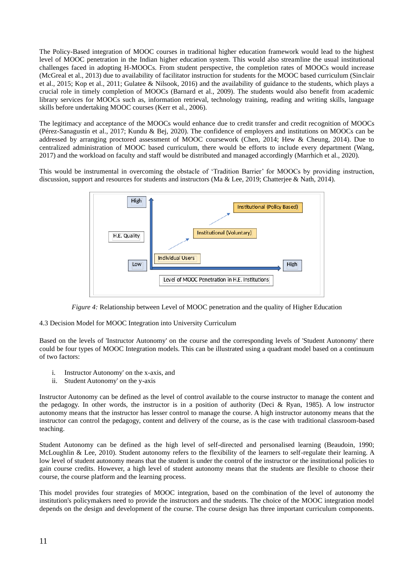The Policy-Based integration of MOOC courses in traditional higher education framework would lead to the highest level of MOOC penetration in the Indian higher education system. This would also streamline the usual institutional challenges faced in adopting H-MOOCs. From student perspective, the completion rates of MOOCs would increase (McGreal et al., 2013) due to availability of facilitator instruction for students for the MOOC based curriculum (Sinclair et al., 2015; Kop et al., 2011; Gulatee & Nilsook, 2016) and the availability of guidance to the students, which plays a crucial role in timely completion of MOOCs (Barnard et al., 2009). The students would also benefit from academic library services for MOOCs such as, information retrieval, technology training, reading and writing skills, language skills before undertaking MOOC courses (Kerr et al., 2006).

The legitimacy and acceptance of the MOOCs would enhance due to credit transfer and credit recognition of MOOCs (Pérez-Sanagustín et al., 2017; Kundu & Bej, 2020). The confidence of employers and institutions on MOOCs can be addressed by arranging proctored assessment of MOOC coursework (Chen, 2014; Hew & Cheung, 2014). Due to centralized administration of MOOC based curriculum, there would be efforts to include every department (Wang, 2017) and the workload on faculty and staff would be distributed and managed accordingly (Marrhich et al., 2020).

This would be instrumental in overcoming the obstacle of 'Tradition Barrier' for MOOCs by providing instruction, discussion, support and resources for students and instructors (Ma & Lee, 2019; Chatterjee & Nath, 2014).



*Figure 4:* Relationship between Level of MOOC penetration and the quality of Higher Education

#### 4.3 Decision Model for MOOC Integration into University Curriculum

Based on the levels of 'Instructor Autonomy' on the course and the corresponding levels of 'Student Autonomy' there could be four types of MOOC Integration models. This can be illustrated using a quadrant model based on a continuum of two factors:

- i. Instructor Autonomy' on the x-axis, and
- ii. Student Autonomy' on the y-axis

Instructor Autonomy can be defined as the level of control available to the course instructor to manage the content and the pedagogy. In other words, the instructor is in a position of authority (Deci & Ryan, 1985). A low instructor autonomy means that the instructor has lesser control to manage the course. A high instructor autonomy means that the instructor can control the pedagogy, content and delivery of the course, as is the case with traditional classroom-based teaching.

Student Autonomy can be defined as the high level of self-directed and personalised learning (Beaudoin, 1990; McLoughlin & Lee, 2010). Student autonomy refers to the flexibility of the learners to self-regulate their learning. A low level of student autonomy means that the student is under the control of the instructor or the institutional policies to gain course credits. However, a high level of student autonomy means that the students are flexible to choose their course, the course platform and the learning process.

This model provides four strategies of MOOC integration, based on the combination of the level of autonomy the institution's policymakers need to provide the instructors and the students. The choice of the MOOC integration model depends on the design and development of the course. The course design has three important curriculum components.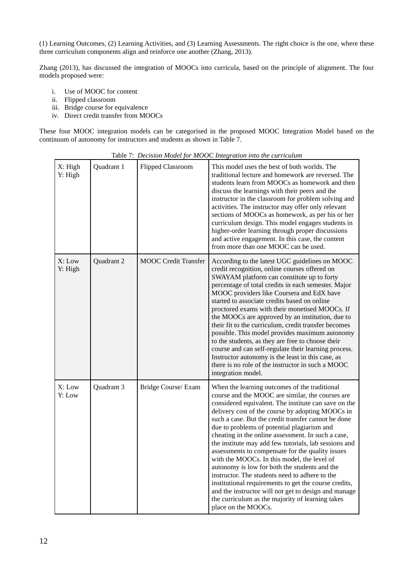(1) Learning Outcomes, (2) Learning Activities, and (3) Learning Assessments. The right choice is the one, where these three curriculum components align and reinforce one another (Zhang, 2013).

Zhang (2013), has discussed the integration of MOOCs into curricula, based on the principle of alignment. The four models proposed were:

- i. Use of MOOC for content
- ii. Flipped classroom
- iii. Bridge course for equivalence
- iv. Direct credit transfer from MOOCs

These four MOOC integration models can be categorised in the proposed MOOC Integration Model based on the continuum of autonomy for instructors and students as shown in Table 7.

| X: High<br>Y: High | Quadrant 1 | <b>Flipped Classroom</b>    | This model uses the best of both worlds. The<br>traditional lecture and homework are reversed. The<br>students learn from MOOCs as homework and then<br>discuss the learnings with their peers and the<br>instructor in the classroom for problem solving and<br>activities. The instructor may offer only relevant<br>sections of MOOCs as homework, as per his or her<br>curriculum design. This model engages students in<br>higher-order learning through proper discussions<br>and active engagement. In this case, the content<br>from more than one MOOC can be used.                                                                                                                                                                                                                                                         |
|--------------------|------------|-----------------------------|--------------------------------------------------------------------------------------------------------------------------------------------------------------------------------------------------------------------------------------------------------------------------------------------------------------------------------------------------------------------------------------------------------------------------------------------------------------------------------------------------------------------------------------------------------------------------------------------------------------------------------------------------------------------------------------------------------------------------------------------------------------------------------------------------------------------------------------|
| X: Low<br>Y: High  | Quadrant 2 | <b>MOOC</b> Credit Transfer | According to the latest UGC guidelines on MOOC<br>credit recognition, online courses offered on<br>SWAYAM platform can constitute up to forty<br>percentage of total credits in each semester. Major<br>MOOC providers like Coursera and EdX have<br>started to associate credits based on online<br>proctored exams with their monetised MOOCs. If<br>the MOOCs are approved by an institution, due to<br>their fit to the curriculum, credit transfer becomes<br>possible. This model provides maximum autonomy<br>to the students, as they are free to choose their<br>course and can self-regulate their learning process.<br>Instructor autonomy is the least in this case, as<br>there is no role of the instructor in such a MOOC<br>integration model.                                                                       |
| X: Low<br>Y: Low   | Quadrant 3 | Bridge Course/ Exam         | When the learning outcomes of the traditional<br>course and the MOOC are similar, the courses are<br>considered equivalent. The institute can save on the<br>delivery cost of the course by adopting MOOCs in<br>such a case. But the credit transfer cannot be done<br>due to problems of potential plagiarism and<br>cheating in the online assessment. In such a case,<br>the institute may add few tutorials, lab sessions and<br>assessments to compensate for the quality issues<br>with the MOOCs. In this model, the level of<br>autonomy is low for both the students and the<br>instructor. The students need to adhere to the<br>institutional requirements to get the course credits,<br>and the instructor will not get to design and manage<br>the curriculum as the majority of learning takes<br>place on the MOOCs. |

Table 7: *Decision Model for MOOC Integration into the curriculum*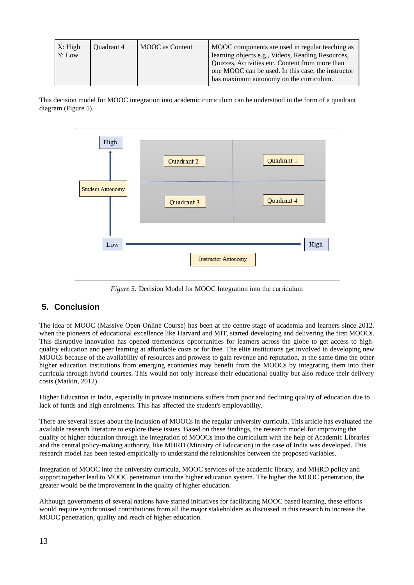| X: High<br>Y: Low | Quadrant 4 | <b>MOOC</b> as Content | MOOC components are used in regular teaching as<br>learning objects e.g., Videos, Reading Resources,<br>Quizzes, Activities etc. Content from more than<br>one MOOC can be used. In this case, the instructor<br>has maximum autonomy on the curriculum. |
|-------------------|------------|------------------------|----------------------------------------------------------------------------------------------------------------------------------------------------------------------------------------------------------------------------------------------------------|
|-------------------|------------|------------------------|----------------------------------------------------------------------------------------------------------------------------------------------------------------------------------------------------------------------------------------------------------|

This decision model for MOOC integration into academic curriculum can be understood in the form of a quadrant diagram (Figure 5).



*Figure 5:* Decision Model for MOOC Integration into the curriculum

# **5. Conclusion**

The idea of MOOC (Massive Open Online Course) has been at the centre stage of academia and learners since 2012, when the pioneers of educational excellence like Harvard and MIT, started developing and delivering the first MOOCs. This disruptive innovation has opened tremendous opportunities for learners across the globe to get access to highquality education and peer learning at affordable costs or for free. The elite institutions get involved in developing new MOOCs because of the availability of resources and prowess to gain revenue and reputation, at the same time the other higher education institutions from emerging economies may benefit from the MOOCs by integrating them into their curricula through hybrid courses. This would not only increase their educational quality but also reduce their delivery costs (Matkin, 2012).

Higher Education in India, especially in private institutions suffers from poor and declining quality of education due to lack of funds and high enrolments. This has affected the student's employability.

There are several issues about the inclusion of MOOCs in the regular university curricula. This article has evaluated the available research literature to explore these issues. Based on these findings, the research model for improving the quality of higher education through the integration of MOOCs into the curriculum with the help of Academic Libraries and the central policy-making authority, like MHRD (Ministry of Education) in the case of India was developed. This research model has been tested empirically to understand the relationships between the proposed variables.

Integration of MOOC into the university curricula, MOOC services of the academic library, and MHRD policy and support together lead to MOOC penetration into the higher education system. The higher the MOOC penetration, the greater would be the improvement in the quality of higher education.

Although governments of several nations have started initiatives for facilitating MOOC based learning, these efforts would require synchronised contributions from all the major stakeholders as discussed in this research to increase the MOOC penetration, quality and reach of higher education.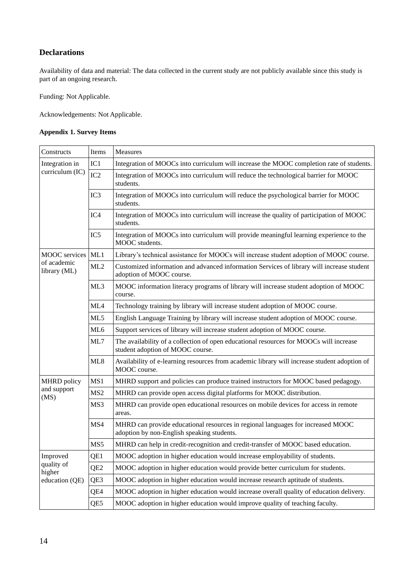# **Declarations**

Availability of data and material: The data collected in the current study are not publicly available since this study is part of an ongoing research.

Funding: Not Applicable.

Acknowledgements: Not Applicable.

#### **Appendix 1. Survey Items**

| Constructs                                          | Items           | Measures                                                                                                                      |  |
|-----------------------------------------------------|-----------------|-------------------------------------------------------------------------------------------------------------------------------|--|
| Integration in<br>curriculum (IC)                   | IC1             | Integration of MOOCs into curriculum will increase the MOOC completion rate of students.                                      |  |
|                                                     | IC <sub>2</sub> | Integration of MOOCs into curriculum will reduce the technological barrier for MOOC<br>students.                              |  |
|                                                     | IC <sub>3</sub> | Integration of MOOCs into curriculum will reduce the psychological barrier for MOOC<br>students.                              |  |
|                                                     | IC <sub>4</sub> | Integration of MOOCs into curriculum will increase the quality of participation of MOOC<br>students.                          |  |
|                                                     | IC <sub>5</sub> | Integration of MOOCs into curriculum will provide meaningful learning experience to the<br>MOOC students.                     |  |
| <b>MOOC</b> services<br>of academic<br>library (ML) | ML1             | Library's technical assistance for MOOCs will increase student adoption of MOOC course.                                       |  |
|                                                     | ML2             | Customized information and advanced information Services of library will increase student<br>adoption of MOOC course.         |  |
|                                                     | ML3             | MOOC information literacy programs of library will increase student adoption of MOOC<br>course.                               |  |
|                                                     | ML4             | Technology training by library will increase student adoption of MOOC course.                                                 |  |
|                                                     | ML5             | English Language Training by library will increase student adoption of MOOC course.                                           |  |
|                                                     | ML <sub>6</sub> | Support services of library will increase student adoption of MOOC course.                                                    |  |
|                                                     | ML7             | The availability of a collection of open educational resources for MOOCs will increase<br>student adoption of MOOC course.    |  |
|                                                     | ML8             | Availability of e-learning resources from academic library will increase student adoption of<br>MOOC course.                  |  |
| MHRD policy                                         | MS1             | MHRD support and policies can produce trained instructors for MOOC based pedagogy.                                            |  |
| and support<br>(MS)                                 | MS <sub>2</sub> | MHRD can provide open access digital platforms for MOOC distribution.                                                         |  |
|                                                     | MS3             | MHRD can provide open educational resources on mobile devices for access in remote<br>areas.                                  |  |
|                                                     | MS4             | MHRD can provide educational resources in regional languages for increased MOOC<br>adoption by non-English speaking students. |  |
|                                                     | MS5             | MHRD can help in credit-recognition and credit-transfer of MOOC based education.                                              |  |
| Improved<br>quality of<br>higher<br>education (QE)  | QE1             | MOOC adoption in higher education would increase employability of students.                                                   |  |
|                                                     | QE <sub>2</sub> | MOOC adoption in higher education would provide better curriculum for students.                                               |  |
|                                                     | QE3             | MOOC adoption in higher education would increase research aptitude of students.                                               |  |
|                                                     | QE4             | MOOC adoption in higher education would increase overall quality of education delivery.                                       |  |
|                                                     | QE5             | MOOC adoption in higher education would improve quality of teaching faculty.                                                  |  |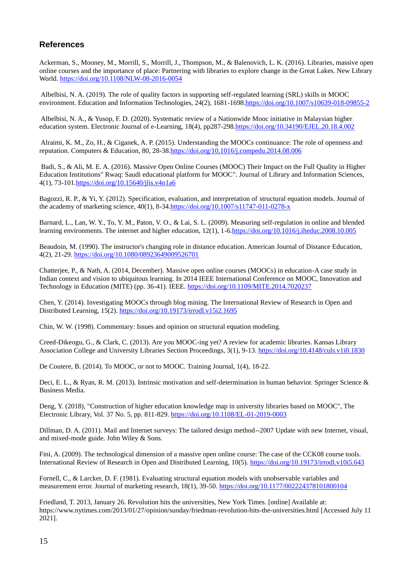### **References**

Ackerman, S., Mooney, M., Morrill, S., Morrill, J., Thompson, M., & Balenovich, L. K. (2016). Libraries, massive open online courses and the importance of place: Partnering with libraries to explore change in the Great Lakes. New Library World.<https://doi.org/10.1108/NLW-08-2016-0054>

Albelbisi, N. A. (2019). The role of quality factors in supporting self-regulated learning (SRL) skills in MOOC environment. Education and Information Technologies, 24(2), 1681-1698[.https://doi.org/10.1007/s10639-018-09855-2](https://doi.org/10.1007/s10639-018-09855-2)

Albelbisi, N. A., & Yusop, F. D. (2020). Systematic review of a Nationwide Mooc initiative in Malaysian higher education system. Electronic Journal of e-Learning, 18(4), pp287-29[8.https://doi.org/10.34190/EJEL.20.18.4.002](https://doi.org/10.34190/EJEL.20.18.4.002)

Alraimi, K. M., Zo, H., & Ciganek, A. P. (2015). Understanding the MOOCs continuance: The role of openness and reputation. Computers & Education, 80, 28-38[.https://doi.org/10.1016/j.compedu.2014.08.006](https://doi.org/10.1016/j.compedu.2014.08.006)

Badi, S., & Ali, M. E. A. (2016). Massive Open Online Courses (MOOC) Their Impact on the Full Quality in Higher Education Institutions" Rwaq: Saudi educational platform for MOOC". Journal of Library and Information Sciences, 4(1), 73-101[.https://doi.org/10.15640/jlis.v4n1a6](https://doi.org/10.15640/jlis.v4n1a6)

Bagozzi, R. P., & Yi, Y. (2012). Specification, evaluation, and interpretation of structural equation models. Journal of the academy of marketing science, 40(1), 8-34[.https://doi.org/10.1007/s11747-011-0278-x](https://doi.org/10.1007/s11747-011-0278-x)

Barnard, L., Lan, W. Y., To, Y. M., Paton, V. O., & Lai, S. L. (2009). Measuring self-regulation in online and blended learning environments. The internet and higher education, 12(1), 1-[6.https://doi.org/10.1016/j.iheduc.2008.10.005](https://doi.org/10.1016/j.iheduc.2008.10.005)

Beaudoin, M. (1990). The instructor's changing role in distance education. American Journal of Distance Education, 4(2), 21-29[. https://doi.org/10.1080/08923649009526701](https://doi.org/10.1080/08923649009526701) 

Chatterjee, P., & Nath, A. (2014, December). Massive open online courses (MOOCs) in education-A case study in Indian context and vision to ubiquitous learning. In 2014 IEEE International Conference on MOOC, Innovation and Technology in Education (MITE) (pp. 36-41). IEEE.<https://doi.org/10.1109/MITE.2014.7020237>

Chen, Y. (2014). Investigating MOOCs through blog mining. The International Review of Research in Open and Distributed Learning, 15(2).<https://doi.org/10.19173/irrodl.v15i2.1695>

Chin, W. W. (1998). Commentary: Issues and opinion on structural equation modeling.

Creed-Dikeogu, G., & Clark, C. (2013). Are you MOOC-ing yet? A review for academic libraries. Kansas Library Association College and University Libraries Section Proceedings, 3(1), 9-13[. https://doi.org/10.4148/culs.v1i0.1830](https://doi.org/10.4148/culs.v1i0.1830)

De Coutere, B. (2014). To MOOC, or not to MOOC. Training Journal, 1(4), 18-22.

Deci, E. L., & Ryan, R. M. (2013). Intrinsic motivation and self-determination in human behavior. Springer Science & Business Media.

Deng, Y. (2018), "Construction of higher education knowledge map in university libraries based on MOOC", The Electronic Library, Vol. 37 No. 5, pp. 811-829.<https://doi.org/10.1108/EL-01-2019-0003>

Dillman, D. A. (2011). Mail and Internet surveys: The tailored design method--2007 Update with new Internet, visual, and mixed-mode guide. John Wiley & Sons.

Fini, A. (2009). The technological dimension of a massive open online course: The case of the CCK08 course tools. International Review of Research in Open and Distributed Learning, 10(5).<https://doi.org/10.19173/irrodl.v10i5.643>

Fornell, C., & Larcker, D. F. (1981). Evaluating structural equation models with unobservable variables and measurement error. Journal of marketing research, 18(1), 39-50[. https://doi.org/10.1177/002224378101800104](https://doi.org/10.1177/002224378101800104)

Friedland, T. 2013, January 26. Revolution hits the universities, New York Times. [online] Available at: https://www.nytimes.com/2013/01/27/opinion/sunday/friedman-revolution-hits-the-universities.html [Accessed July 11 2021].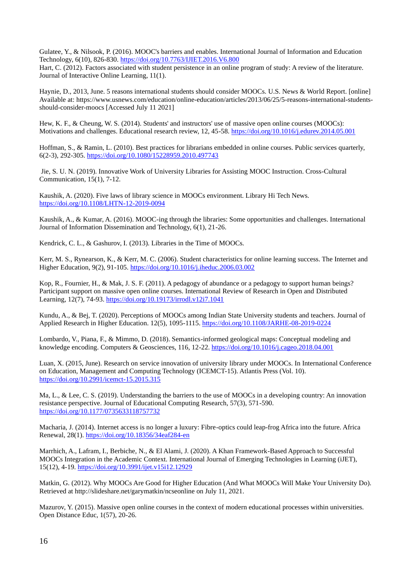Gulatee, Y., & Nilsook, P. (2016). MOOC's barriers and enables. International Journal of Information and Education Technology, 6(10), 826-830.<https://doi.org/10.7763/IJIET.2016.V6.800>

Hart, C. (2012). Factors associated with student persistence in an online program of study: A review of the literature. Journal of Interactive Online Learning, 11(1).

Haynie, D., 2013, June. 5 reasons international students should consider MOOCs. U.S. News & World Report. [online] Available at: https://www.usnews.com/education/online-education/articles/2013/06/25/5-reasons-international-studentsshould-consider-moocs [Accessed July 11 2021]

Hew, K. F., & Cheung, W. S. (2014). Students' and instructors' use of massive open online courses (MOOCs): Motivations and challenges. Educational research review, 12, 45-58[. https://doi.org/10.1016/j.edurev.2014.05.001](https://doi.org/10.1016/j.edurev.2014.05.001)

Hoffman, S., & Ramin, L. (2010). Best practices for librarians embedded in online courses. Public services quarterly, 6(2-3), 292-305.<https://doi.org/10.1080/15228959.2010.497743>

Jie, S. U. N. (2019). Innovative Work of University Libraries for Assisting MOOC Instruction. Cross-Cultural Communication, 15(1), 7-12.

Kaushik, A. (2020). Five laws of library science in MOOCs environment. Library Hi Tech News. <https://doi.org/10.1108/LHTN-12-2019-0094>

Kaushik, A., & Kumar, A. (2016). MOOC-ing through the libraries: Some opportunities and challenges. International Journal of Information Dissemination and Technology, 6(1), 21-26.

Kendrick, C. L., & Gashurov, I. (2013). Libraries in the Time of MOOCs.

Kerr, M. S., Rynearson, K., & Kerr, M. C. (2006). Student characteristics for online learning success. The Internet and Higher Education, 9(2), 91-105[. https://doi.org/10.1016/j.iheduc.2006.03.002](https://doi.org/10.1016/j.iheduc.2006.03.002)

Kop, R., Fournier, H., & Mak, J. S. F. (2011). A pedagogy of abundance or a pedagogy to support human beings? Participant support on massive open online courses. International Review of Research in Open and Distributed Learning, 12(7), 74-93.<https://doi.org/10.19173/irrodl.v12i7.1041>

Kundu, A., & Bej, T. (2020). Perceptions of MOOCs among Indian State University students and teachers. Journal of Applied Research in Higher Education. 12(5), 1095-1115.<https://doi.org/10.1108/JARHE-08-2019-0224>

Lombardo, V., Piana, F., & Mimmo, D. (2018). Semantics-informed geological maps: Conceptual modeling and knowledge encoding. Computers & Geosciences, 116, 12-22.<https://doi.org/10.1016/j.cageo.2018.04.001>

Luan, X. (2015, June). Research on service innovation of university library under MOOCs. In International Conference on Education, Management and Computing Technology (ICEMCT-15). Atlantis Press (Vol. 10). <https://doi.org/10.2991/icemct-15.2015.315>

Ma, L., & Lee, C. S. (2019). Understanding the barriers to the use of MOOCs in a developing country: An innovation resistance perspective. Journal of Educational Computing Research, 57(3), 571-590. <https://doi.org/10.1177/0735633118757732>

Macharia, J. (2014). Internet access is no longer a luxury: Fibre-optics could leap-frog Africa into the future. Africa Renewal, 28(1).<https://doi.org/10.18356/34eaf284-en>

Marrhich, A., Lafram, I., Berbiche, N., & El Alami, J. (2020). A Khan Framework-Based Approach to Successful MOOCs Integration in the Academic Context. International Journal of Emerging Technologies in Learning (iJET), 15(12), 4-19[. https://doi.org/10.3991/ijet.v15i12.12929](https://doi.org/10.3991/ijet.v15i12.12929)

Matkin, G. (2012). Why MOOCs Are Good for Higher Education (And What MOOCs Will Make Your University Do). Retrieved at http://slideshare.net/garymatkin/ncseonline on July 11, 2021.

Mazurov, Y. (2015). Massive open online courses in the context of modern educational processes within universities. Open Distance Educ, 1(57), 20-26.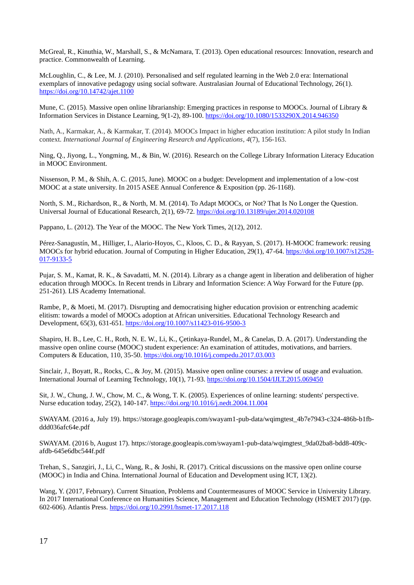McGreal, R., Kinuthia, W., Marshall, S., & McNamara, T. (2013). Open educational resources: Innovation, research and practice. Commonwealth of Learning.

McLoughlin, C., & Lee, M. J. (2010). Personalised and self regulated learning in the Web 2.0 era: International exemplars of innovative pedagogy using social software. Australasian Journal of Educational Technology, 26(1). <https://doi.org/10.14742/ajet.1100>

Mune, C. (2015). Massive open online librarianship: Emerging practices in response to MOOCs. Journal of Library & Information Services in Distance Learning, 9(1-2), 89-100[. https://doi.org/10.1080/1533290X.2014.946350](https://doi.org/10.1080/1533290X.2014.946350)

Nath, A., Karmakar, A., & Karmakar, T. (2014). MOOCs Impact in higher education institution: A pilot study In Indian context. *International Journal of Engineering Research and Applications*, *4*(7), 156-163.

Ning, Q., Jiyong, L., Yongming, M., & Bin, W. (2016). Research on the College Library Information Literacy Education in MOOC Environment.

Nissenson, P. M., & Shih, A. C. (2015, June). MOOC on a budget: Development and implementation of a low-cost MOOC at a state university. In 2015 ASEE Annual Conference & Exposition (pp. 26-1168).

North, S. M., Richardson, R., & North, M. M. (2014). To Adapt MOOCs, or Not? That Is No Longer the Question. Universal Journal of Educational Research, 2(1), 69-72[. https://doi.org/10.13189/ujer.2014.020108](https://doi.org/10.13189/ujer.2014.020108)

Pappano, L. (2012). The Year of the MOOC. The New York Times, 2(12), 2012.

Pérez-Sanagustín, M., Hilliger, I., Alario-Hoyos, C., Kloos, C. D., & Rayyan, S. (2017). H-MOOC framework: reusing MOOCs for hybrid education. Journal of Computing in Higher Education, 29(1), 47-64. [https://doi.org/10.1007/s12528-](https://doi.org/10.1007/s12528-017-9133-5) [017-9133-5](https://doi.org/10.1007/s12528-017-9133-5)

Pujar, S. M., Kamat, R. K., & Savadatti, M. N. (2014). Library as a change agent in liberation and deliberation of higher education through MOOCs. In Recent trends in Library and Information Science: A Way Forward for the Future (pp. 251-261). LIS Academy International.

Rambe, P., & Moeti, M. (2017). Disrupting and democratising higher education provision or entrenching academic elitism: towards a model of MOOCs adoption at African universities. Educational Technology Research and Development, 65(3), 631-651[. https://doi.org/10.1007/s11423-016-9500-3](https://doi.org/10.1007/s11423-016-9500-3)

Shapiro, H. B., Lee, C. H., Roth, N. E. W., Li, K., Çetinkaya-Rundel, M., & Canelas, D. A. (2017). Understanding the massive open online course (MOOC) student experience: An examination of attitudes, motivations, and barriers. Computers & Education, 110, 35-50.<https://doi.org/10.1016/j.compedu.2017.03.003>

Sinclair, J., Boyatt, R., Rocks, C., & Joy, M. (2015). Massive open online courses: a review of usage and evaluation. International Journal of Learning Technology, 10(1), 71-93.<https://doi.org/10.1504/IJLT.2015.069450>

Sit, J. W., Chung, J. W., Chow, M. C., & Wong, T. K. (2005). Experiences of online learning: students' perspective. Nurse education today, 25(2), 140-147.<https://doi.org/10.1016/j.nedt.2004.11.004>

SWAYAM. (2016 a, July 19). https://storage.googleapis.com/swayam1-pub-data/wqimgtest\_4b7e7943-c324-486b-b1fbddd036afc64e.pdf

SWAYAM. (2016 b, August 17). https://storage.googleapis.com/swayam1-pub-data/wqimgtest\_9da02ba8-bdd8-409cafdb-645e6dbc544f.pdf

Trehan, S., Sanzgiri, J., Li, C., Wang, R., & Joshi, R. (2017). Critical discussions on the massive open online course (MOOC) in India and China. International Journal of Education and Development using ICT, 13(2).

Wang, Y. (2017, February). Current Situation, Problems and Countermeasures of MOOC Service in University Library. In 2017 International Conference on Humanities Science, Management and Education Technology (HSMET 2017) (pp. 602-606). Atlantis Press.<https://doi.org/10.2991/hsmet-17.2017.118>